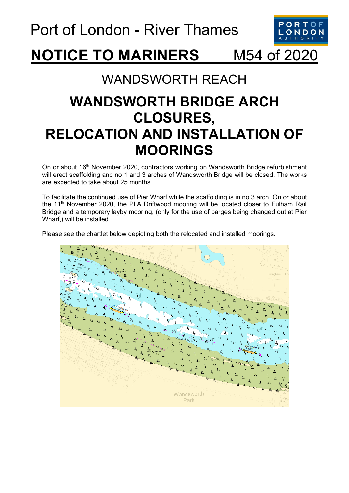

## **NOTICE TO MARINERS** M54 of 2020

## WANDSWORTH REACH

## **WANDSWORTH BRIDGE ARCH CLOSURES, RELOCATION AND INSTALLATION OF MOORINGS**

On or about 16<sup>th</sup> November 2020, contractors working on Wandsworth Bridge refurbishment will erect scaffolding and no 1 and 3 arches of Wandsworth Bridge will be closed. The works are expected to take about 25 months.

To facilitate the continued use of Pier Wharf while the scaffolding is in no 3 arch. On or about the 11<sup>th</sup> November 2020, the PLA Driftwood mooring will be located closer to Fulham Rail Bridge and a temporary layby mooring, (only for the use of barges being changed out at Pier Wharf,) will be installed.

Please see the chartlet below depicting both the relocated and installed moorings.